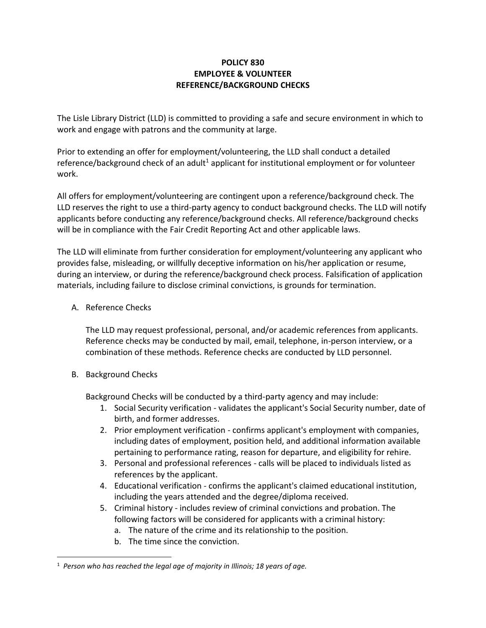## **POLICY 830 EMPLOYEE & VOLUNTEER REFERENCE/BACKGROUND CHECKS**

The Lisle Library District (LLD) is committed to providing a safe and secure environment in which to work and engage with patrons and the community at large.

Prior to extending an offer for employment/volunteering, the LLD shall conduct a detailed reference/background check of an adult<sup>1</sup> applicant for institutional employment or for volunteer work.

All offers for employment/volunteering are contingent upon a reference/background check. The LLD reserves the right to use a third-party agency to conduct background checks. The LLD will notify applicants before conducting any reference/background checks. All reference/background checks will be in compliance with the Fair Credit Reporting Act and other applicable laws.

The LLD will eliminate from further consideration for employment/volunteering any applicant who provides false, misleading, or willfully deceptive information on his/her application or resume, during an interview, or during the reference/background check process. Falsification of application materials, including failure to disclose criminal convictions, is grounds for termination.

A. Reference Checks

The LLD may request professional, personal, and/or academic references from applicants. Reference checks may be conducted by mail, email, telephone, in-person interview, or a combination of these methods. Reference checks are conducted by LLD personnel.

B. Background Checks

 $\overline{\phantom{a}}$ 

Background Checks will be conducted by a third-party agency and may include:

- 1. Social Security verification validates the applicant's Social Security number, date of birth, and former addresses.
- 2. Prior employment verification confirms applicant's employment with companies, including dates of employment, position held, and additional information available pertaining to performance rating, reason for departure, and eligibility for rehire.
- 3. Personal and professional references calls will be placed to individuals listed as references by the applicant.
- 4. Educational verification confirms the applicant's claimed educational institution, including the years attended and the degree/diploma received.
- 5. Criminal history includes review of criminal convictions and probation. The following factors will be considered for applicants with a criminal history:
	- a. The nature of the crime and its relationship to the position.
	- b. The time since the conviction.

<sup>1</sup> *Person who has reached the legal age of majority in Illinois; 18 years of age.*